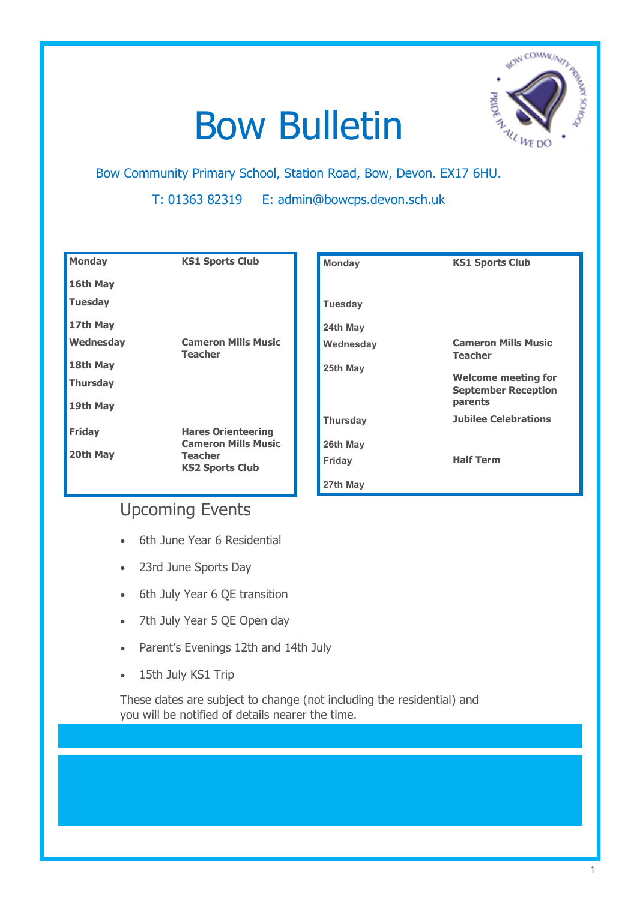# Bow Bulletin Bow Community Primary School, Station Road, Bow, Devon. EX17 6HU.



T: 01363 82319 E: admin@bowcps.devon.sch.uk

| <b>Monday</b>   | <b>KS1 Sports Club</b>                                  | <b>Monday</b>   | <b>KS1 Sports Club</b>                                   |
|-----------------|---------------------------------------------------------|-----------------|----------------------------------------------------------|
| 16th May        |                                                         |                 |                                                          |
| <b>Tuesday</b>  |                                                         | <b>Tuesday</b>  |                                                          |
| 17th May        |                                                         | 24th May        |                                                          |
| Wednesday       | <b>Cameron Mills Music</b><br><b>Teacher</b>            | Wednesday       | <b>Cameron Mills Music</b>                               |
| 18th May        |                                                         | 25th May        | <b>Teacher</b>                                           |
| <b>Thursday</b> |                                                         |                 | <b>Welcome meeting for</b><br><b>September Reception</b> |
| 19th May        |                                                         |                 | parents                                                  |
| <b>Friday</b>   |                                                         | <b>Thursday</b> | <b>Jubilee Celebrations</b>                              |
|                 | <b>Hares Orienteering</b><br><b>Cameron Mills Music</b> | 26th May        |                                                          |
| 20th May        | <b>Teacher</b><br><b>KS2 Sports Club</b>                | Friday          | <b>Half Term</b>                                         |
|                 |                                                         | 27th May        |                                                          |

# Upcoming Events

- 6th June Year 6 Residential
- 23rd June Sports Day
- 6th July Year 6 QE transition
- 7th July Year 5 QE Open day
- Parent's Evenings 12th and 14th July
- 15th July KS1 Trip

These dates are subject to change (not including the residential) and you will be notified of details nearer the time.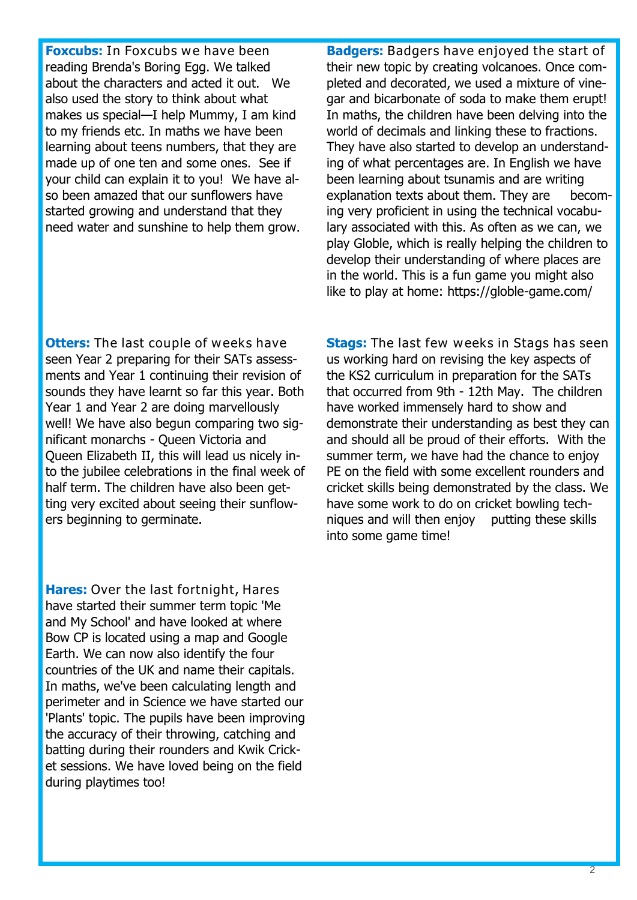**Foxcubs:** In Foxcubs we have been reading Brenda's Boring Egg. We talked about the characters and acted it out. We also used the story to think about what makes us special—I help Mummy, I am kind to my friends etc. In maths we have been learning about teens numbers, that they are made up of one ten and some ones. See if your child can explain it to you! We have also been amazed that our sunflowers have started growing and understand that they need water and sunshine to help them grow. **Badgers:** Badgers have enjoyed the start of their new topic by creating volcanoes. Once completed and decorated, we used a mixture of vinegar and bicarbonate of soda to make them erupt! In maths, the children have been delving into the world of decimals and linking these to fractions. They have also started to develop an understanding of what percentages are. In English we have been learning about tsunamis and are writing explanation texts about them. They are becoming very proficient in using the technical vocabulary associated with this. As often as we can, we play Globle, which is really helping the children to develop their understanding of where places are in the world. This is a fun game you might also like to play at home: https://globle-game.com/

**Otters:** The last couple of weeks have seen Year 2 preparing for their SATs assessments and Year 1 continuing their revision of sounds they have learnt so far this year. Both Year 1 and Year 2 are doing marvellously well! We have also begun comparing two significant monarchs - Queen Victoria and Queen Elizabeth II, this will lead us nicely into the jubilee celebrations in the final week of half term. The children have also been getting very excited about seeing their sunflowers beginning to germinate.

**Hares:** Over the last fortnight, Hares have started their summer term topic 'Me and My School' and have looked at where Bow CP is located using a map and Google Earth. We can now also identify the four countries of the UK and name their capitals. In maths, we've been calculating length and perimeter and in Science we have started our 'Plants' topic. The pupils have been improving the accuracy of their throwing, catching and batting during their rounders and Kwik Cricket sessions. We have loved being on the field during playtimes too!

**Stags:** The last few weeks in Stags has seen us working hard on revising the key aspects of the KS2 curriculum in preparation for the SATs that occurred from 9th - 12th May. The children have worked immensely hard to show and demonstrate their understanding as best they can and should all be proud of their efforts. With the summer term, we have had the chance to enjoy PE on the field with some excellent rounders and cricket skills being demonstrated by the class. We have some work to do on cricket bowling techniques and will then enjoy putting these skills into some game time!